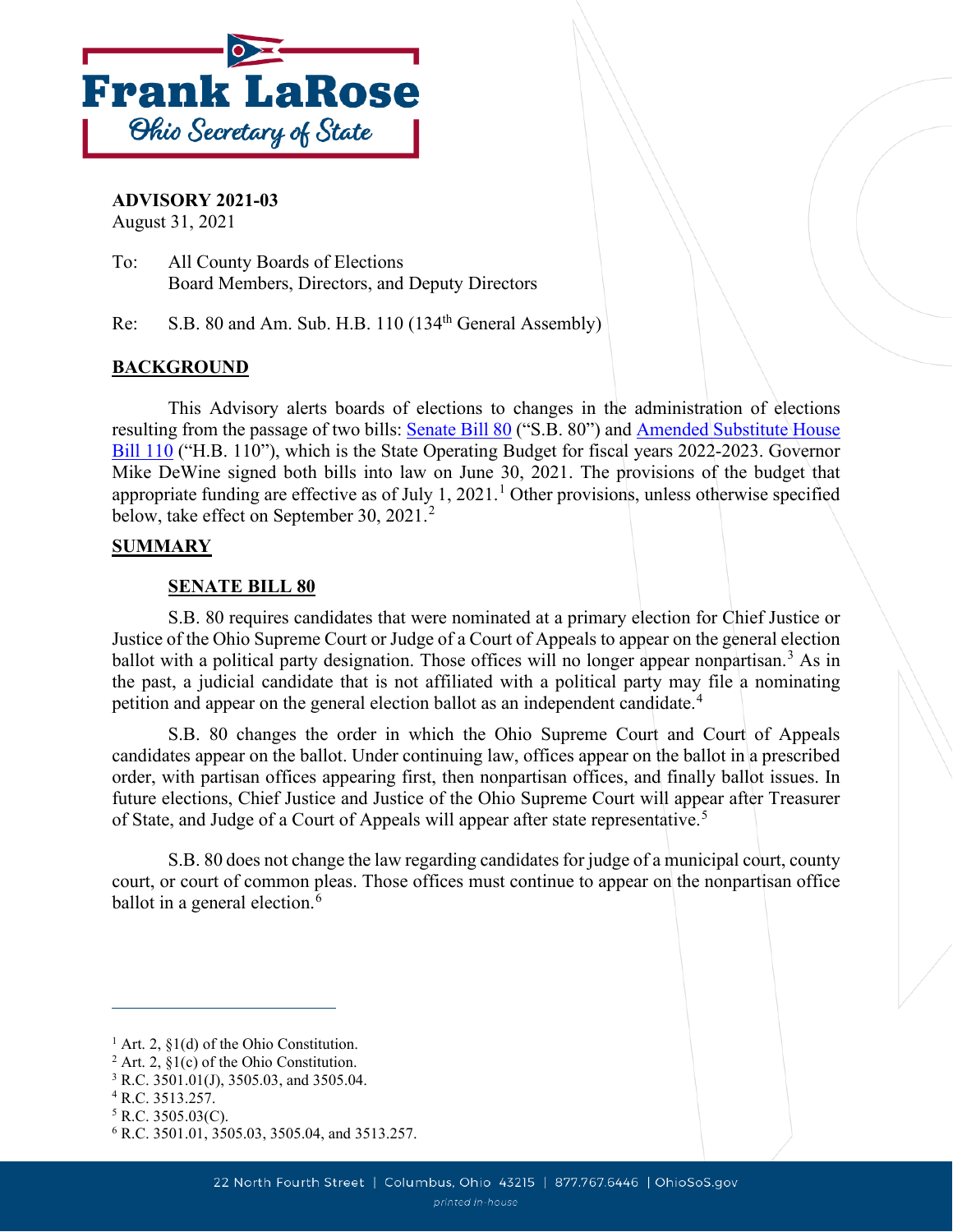

**ADVISORY 2021-03**

August 31, 2021

To: All County Boards of Elections Board Members, Directors, and Deputy Directors

Re: S.B. 80 and Am. Sub. H.B. 110 (134<sup>th</sup> General Assembly)

# **BACKGROUND**

This Advisory alerts boards of elections to changes in the administration of elections resulting from the passage of two bills: [Senate Bill 80](https://search-prod.lis.state.oh.us/solarapi/v1/general_assembly_134/bills/sb80/EN/05/sb80_05_EN?format=pdf) ("S.B. 80") and [Amended Substitute House](https://search-prod.lis.state.oh.us/solarapi/v1/general_assembly_134/bills/hb110/EN/07/hb110_07_EN?format=pdf)  [Bill 110](https://search-prod.lis.state.oh.us/solarapi/v1/general_assembly_134/bills/hb110/EN/07/hb110_07_EN?format=pdf) ("H.B. 110"), which is the State Operating Budget for fiscal years 2022-2023. Governor Mike DeWine signed both bills into law on June 30, 2021. The provisions of the budget that appropriate funding are effective as of July [1](#page-0-0), 2021.<sup>1</sup> Other provisions, unless otherwise specified below, take effect on September 30, [2](#page-0-1)021.<sup>2</sup>

## **SUMMARY**

## **SENATE BILL 80**

S.B. 80 requires candidates that were nominated at a primary election for Chief Justice or Justice of the Ohio Supreme Court or Judge of a Court of Appeals to appear on the general election ballot with a political party designation. Those offices will no longer appear nonpartisan.<sup>[3](#page-0-2)</sup> As in the past, a judicial candidate that is not affiliated with a political party may file a nominating petition and appear on the general election ballot as an independent candidate.<sup>[4](#page-0-3)</sup>

S.B. 80 changes the order in which the Ohio Supreme Court and Court of Appeals candidates appear on the ballot. Under continuing law, offices appear on the ballot in a prescribed order, with partisan offices appearing first, then nonpartisan offices, and finally ballot issues. In future elections, Chief Justice and Justice of the Ohio Supreme Court will appear after Treasurer of State, and Judge of a Court of Appeals will appear after state representative.<sup>[5](#page-0-4)</sup>

S.B. 80 does not change the law regarding candidates for judge of a municipal court, county court, or court of common pleas. Those offices must continue to appear on the nonpartisan office ballot in a general election.<sup>[6](#page-0-5)</sup>

<span id="page-0-0"></span><sup>&</sup>lt;sup>1</sup> Art. 2,  $\S1(d)$  of the Ohio Constitution.

<span id="page-0-1"></span><sup>&</sup>lt;sup>2</sup> Art. 2,  $\S1(c)$  of the Ohio Constitution.

<span id="page-0-2"></span><sup>3</sup> R.C. 3501.01(J), 3505.03, and 3505.04.

<span id="page-0-3"></span><sup>4</sup> R.C. 3513.257.

<span id="page-0-4"></span> $5$  R.C. 3505.03(C).

<span id="page-0-5"></span><sup>6</sup> R.C. 3501.01, 3505.03, 3505.04, and 3513.257.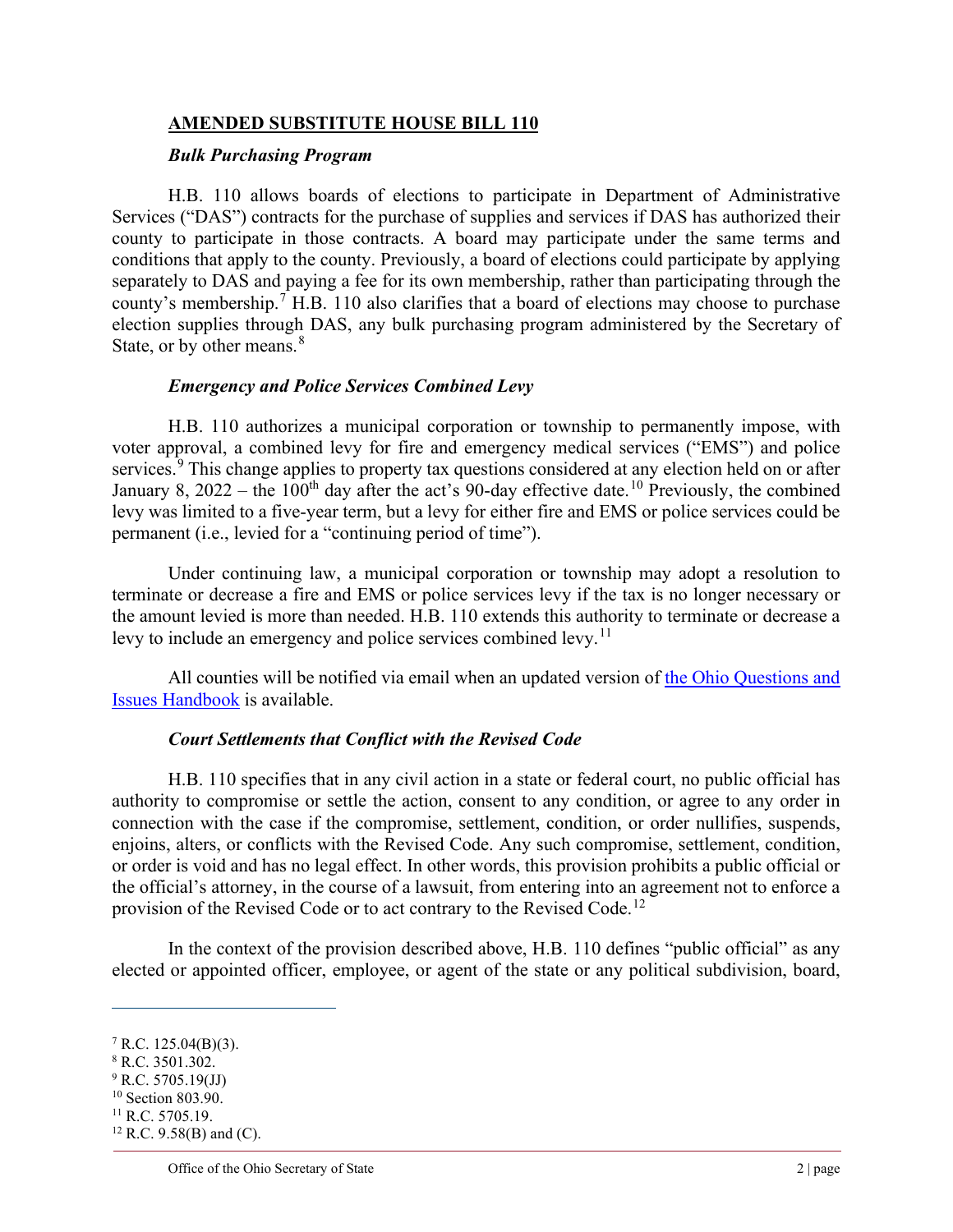# **AMENDED SUBSTITUTE HOUSE BILL 110**

#### *Bulk Purchasing Program*

H.B. 110 allows boards of elections to participate in Department of Administrative Services ("DAS") contracts for the purchase of supplies and services if DAS has authorized their county to participate in those contracts. A board may participate under the same terms and conditions that apply to the county. Previously, a board of elections could participate by applying separately to DAS and paying a fee for its own membership, rather than participating through the county's membership.<sup>[7](#page-1-0)</sup> H.B. 110 also clarifies that a board of elections may choose to purchase election supplies through DAS, any bulk purchasing program administered by the Secretary of State, or by other means.<sup>[8](#page-1-1)</sup>

### *Emergency and Police Services Combined Levy*

H.B. 110 authorizes a municipal corporation or township to permanently impose, with voter approval, a combined levy for fire and emergency medical services ("EMS") and police services.<sup>[9](#page-1-2)</sup> This change applies to property tax questions considered at any election held on or after January 8, 2022 – the [10](#page-1-3)0<sup>th</sup> day after the act's 90-day effective date.<sup>10</sup> Previously, the combined levy was limited to a five-year term, but a levy for either fire and EMS or police services could be permanent (i.e., levied for a "continuing period of time").

Under continuing law, a municipal corporation or township may adopt a resolution to terminate or decrease a fire and EMS or police services levy if the tax is no longer necessary or the amount levied is more than needed. H.B. 110 extends this authority to terminate or decrease a levy to include an emergency and police services combined levy.<sup>[11](#page-1-4)</sup>

All counties will be notified via email when an updated version of [the Ohio Questions and](https://www.ohiosos.gov/globalassets/elections/eoresources/general/questionsandissues.pdf)  [Issues Handbook](https://www.ohiosos.gov/globalassets/elections/eoresources/general/questionsandissues.pdf) is available.

### *Court Settlements that Conflict with the Revised Code*

H.B. 110 specifies that in any civil action in a state or federal court, no public official has authority to compromise or settle the action, consent to any condition, or agree to any order in connection with the case if the compromise, settlement, condition, or order nullifies, suspends, enjoins, alters, or conflicts with the Revised Code. Any such compromise, settlement, condition, or order is void and has no legal effect. In other words, this provision prohibits a public official or the official's attorney, in the course of a lawsuit, from entering into an agreement not to enforce a provision of the Revised Code or to act contrary to the Revised Code.<sup>[12](#page-1-5)</sup>

In the context of the provision described above, H.B. 110 defines "public official" as any elected or appointed officer, employee, or agent of the state or any political subdivision, board,

<span id="page-1-0"></span> $7$  R.C. 125.04(B)(3).

<span id="page-1-1"></span><sup>8</sup> R.C. 3501.302.

<span id="page-1-2"></span> $9$  R.C. 5705.19(JJ)

<span id="page-1-3"></span><sup>&</sup>lt;sup>10</sup> Section 803.90.  $11$  R.C. 5705.19.

<span id="page-1-5"></span><span id="page-1-4"></span>

 $12$  R.C. 9.58(B) and (C).